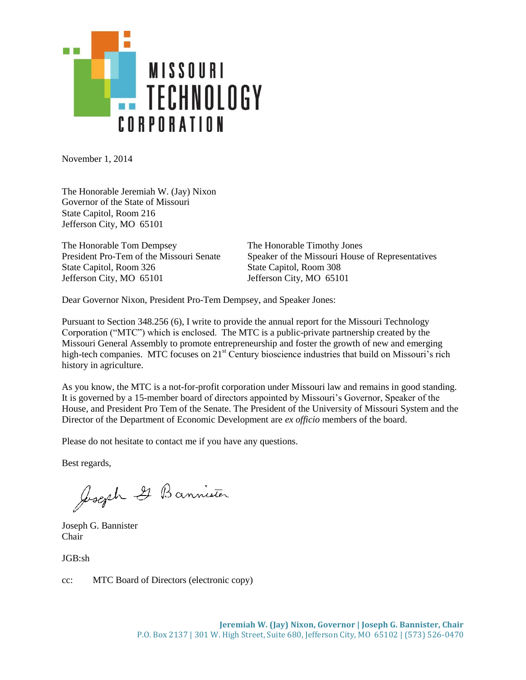

November 1, 2014

The Honorable Jeremiah W. (Jay) Nixon Governor of the State of Missouri State Capitol, Room 216 Jefferson City, MO 65101

The Honorable Tom Dempsey The Honorable Timothy Jones State Capitol, Room 326 State Capitol, Room 308 Jefferson City, MO 65101 Jefferson City, MO 65101

President Pro-Tem of the Missouri Senate Speaker of the Missouri House of Representatives

Dear Governor Nixon, President Pro-Tem Dempsey, and Speaker Jones:

Pursuant to Section 348.256 (6), I write to provide the annual report for the Missouri Technology Corporation ("MTC") which is enclosed. The MTC is a public-private partnership created by the Missouri General Assembly to promote entrepreneurship and foster the growth of new and emerging high-tech companies. MTC focuses on 21<sup>st</sup> Century bioscience industries that build on Missouri's rich history in agriculture.

As you know, the MTC is a not-for-profit corporation under Missouri law and remains in good standing. It is governed by a 15-member board of directors appointed by Missouri's Governor, Speaker of the House, and President Pro Tem of the Senate. The President of the University of Missouri System and the Director of the Department of Economic Development are *ex officio* members of the board.

Please do not hesitate to contact me if you have any questions.

Best regards,

Joseph 2 Bannister

Joseph G. Bannister Chair

JGB:sh

cc: MTC Board of Directors (electronic copy)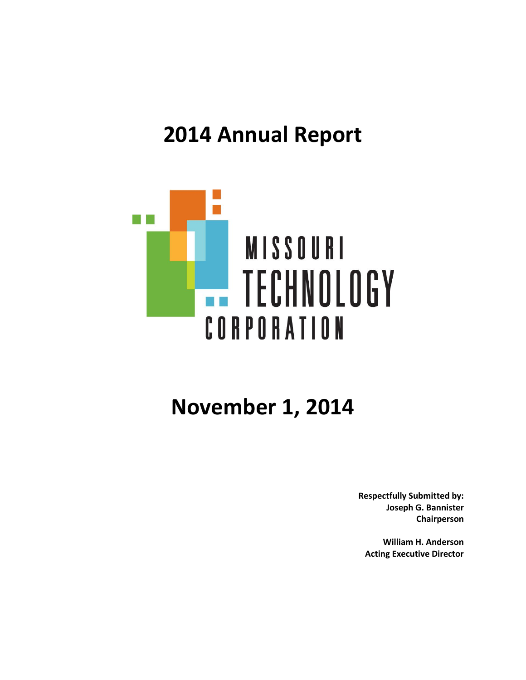# **2014 Annual Report**



# **November 1, 2014**

**Respectfully Submitted by: Joseph G. Bannister Chairperson**

**William H. Anderson Acting Executive Director**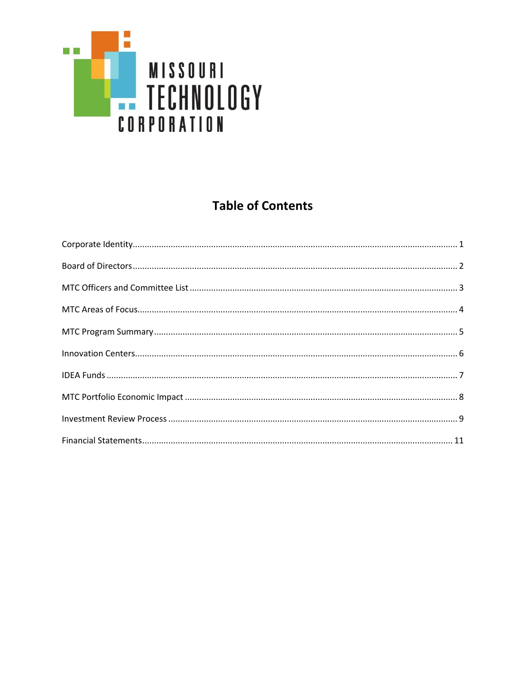

# **Table of Contents**

| $\textbf{Corporate Identity} \text{.} \textbf{\texttt{.}} \textbf{\texttt{.}} \textbf{\texttt{.}} \textbf{\texttt{.}} \textbf{\texttt{.}} \textbf{\texttt{.}} \textbf{\texttt{.}} \textbf{\texttt{.}} \textbf{\texttt{.}} \textbf{\texttt{.}} \textbf{\texttt{.}} \textbf{\texttt{.}} \textbf{\texttt{.}} \textbf{\texttt{.}} \textbf{\texttt{.}} \textbf{\texttt{.}} \textbf{\texttt{.}} \textbf{\texttt{.}} \textbf{\texttt{.}} \textbf{\texttt{.}} \textbf{\texttt{.}} \textbf{\texttt{.}} \textbf{\texttt{.$ |
|------------------------------------------------------------------------------------------------------------------------------------------------------------------------------------------------------------------------------------------------------------------------------------------------------------------------------------------------------------------------------------------------------------------------------------------------------------------------------------------------------------------|
|                                                                                                                                                                                                                                                                                                                                                                                                                                                                                                                  |
|                                                                                                                                                                                                                                                                                                                                                                                                                                                                                                                  |
|                                                                                                                                                                                                                                                                                                                                                                                                                                                                                                                  |
|                                                                                                                                                                                                                                                                                                                                                                                                                                                                                                                  |
|                                                                                                                                                                                                                                                                                                                                                                                                                                                                                                                  |
|                                                                                                                                                                                                                                                                                                                                                                                                                                                                                                                  |
|                                                                                                                                                                                                                                                                                                                                                                                                                                                                                                                  |
|                                                                                                                                                                                                                                                                                                                                                                                                                                                                                                                  |
|                                                                                                                                                                                                                                                                                                                                                                                                                                                                                                                  |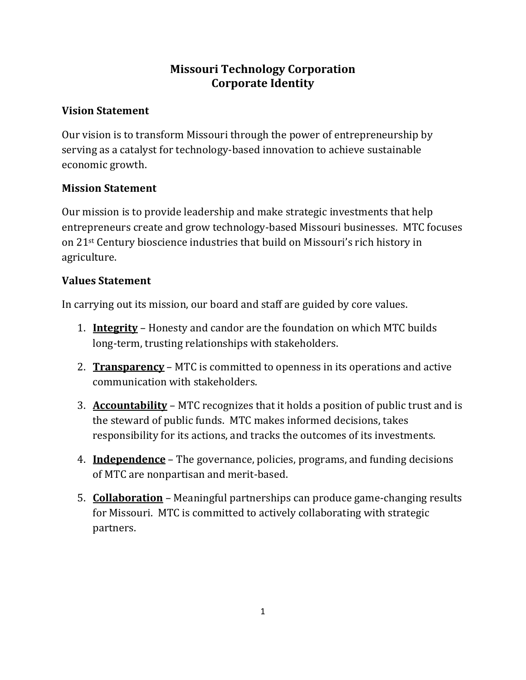## **Missouri Technology Corporation Corporate Identity**

## **Vision Statement**

Our vision is to transform Missouri through the power of entrepreneurship by serving as a catalyst for technology-based innovation to achieve sustainable economic growth.

## **Mission Statement**

Our mission is to provide leadership and make strategic investments that help entrepreneurs create and grow technology-based Missouri businesses. MTC focuses on 21st Century bioscience industries that build on Missouri's rich history in agriculture.

## **Values Statement**

In carrying out its mission, our board and staff are guided by core values.

- 1. **Integrity** Honesty and candor are the foundation on which MTC builds long-term, trusting relationships with stakeholders.
- 2. **Transparency** MTC is committed to openness in its operations and active communication with stakeholders.
- 3. **Accountability** MTC recognizes that it holds a position of public trust and is the steward of public funds. MTC makes informed decisions, takes responsibility for its actions, and tracks the outcomes of its investments.
- 4. **Independence** The governance, policies, programs, and funding decisions of MTC are nonpartisan and merit-based.
- 5. **Collaboration** Meaningful partnerships can produce game-changing results for Missouri. MTC is committed to actively collaborating with strategic partners.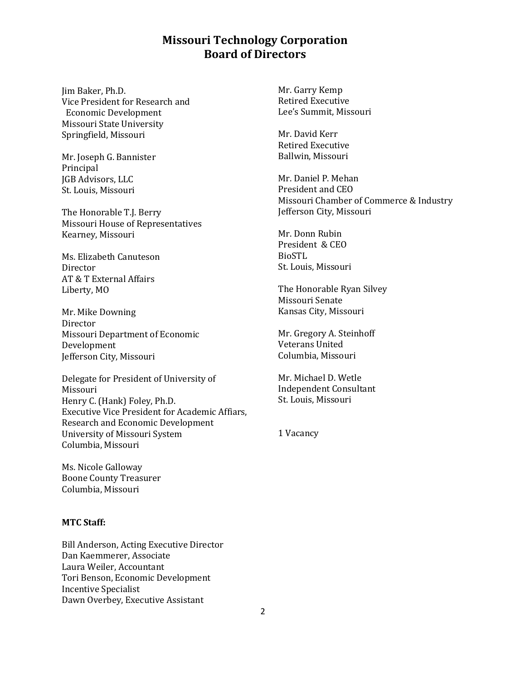## **Missouri Technology Corporation Board of Directors**

Jim Baker, Ph.D. Vice President for Research and Economic Development Missouri State University Springfield, Missouri

Mr. Joseph G. Bannister Principal JGB Advisors, LLC St. Louis, Missouri

The Honorable T.J. Berry Missouri House of Representatives Kearney, Missouri

Ms. Elizabeth Canuteson Director AT & T External Affairs Liberty, MO

Mr. Mike Downing Director Missouri Department of Economic Development Jefferson City, Missouri

Delegate for President of University of Missouri Henry C. (Hank) Foley, Ph.D. Executive Vice President for Academic Affiars, Research and Economic Development University of Missouri System Columbia, Missouri

Ms. Nicole Galloway Boone County Treasurer Columbia, Missouri

#### **MTC Staff:**

Bill Anderson, Acting Executive Director Dan Kaemmerer, Associate Laura Weiler, Accountant Tori Benson, Economic Development Incentive Specialist Dawn Overbey, Executive Assistant

Mr. Garry Kemp Retired Executive Lee's Summit, Missouri

Mr. David Kerr Retired Executive Ballwin, Missouri

Mr. Daniel P. Mehan President and CEO Missouri Chamber of Commerce & Industry Jefferson City, Missouri

Mr. Donn Rubin President & CEO BioSTL St. Louis, Missouri

The Honorable Ryan Silvey Missouri Senate Kansas City, Missouri

Mr. Gregory A. Steinhoff Veterans United Columbia, Missouri

Mr. Michael D. Wetle Independent Consultant St. Louis, Missouri

1 Vacancy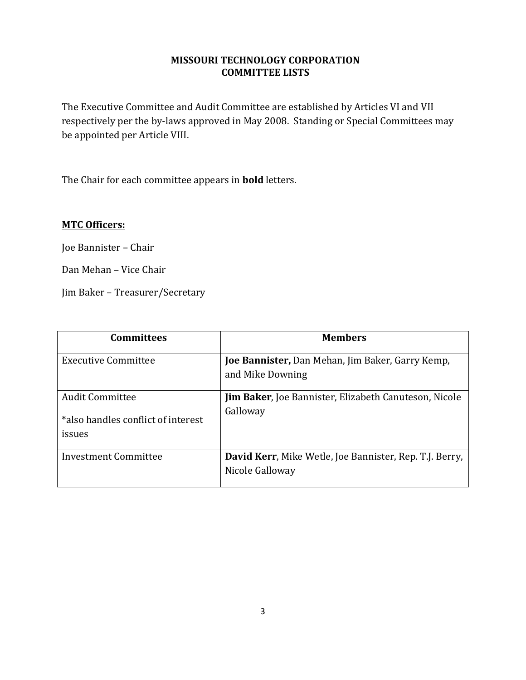### **MISSOURI TECHNOLOGY CORPORATION COMMITTEE LISTS**

The Executive Committee and Audit Committee are established by Articles VI and VII respectively per the by-laws approved in May 2008. Standing or Special Committees may be appointed per Article VIII.

The Chair for each committee appears in **bold** letters.

## **MTC Officers:**

Joe Bannister – Chair

Dan Mehan – Vice Chair

Jim Baker – Treasurer/Secretary

| <b>Committees</b>                  | <b>Members</b>                                                              |
|------------------------------------|-----------------------------------------------------------------------------|
| <b>Executive Committee</b>         | <b>Joe Bannister, Dan Mehan, Jim Baker, Garry Kemp,</b><br>and Mike Downing |
|                                    |                                                                             |
| <b>Audit Committee</b>             | <b>Jim Baker, Joe Bannister, Elizabeth Canuteson, Nicole</b>                |
| *also handles conflict of interest | Galloway                                                                    |
| issues                             |                                                                             |
| <b>Investment Committee</b>        | David Kerr, Mike Wetle, Joe Bannister, Rep. T.J. Berry,                     |
|                                    | Nicole Galloway                                                             |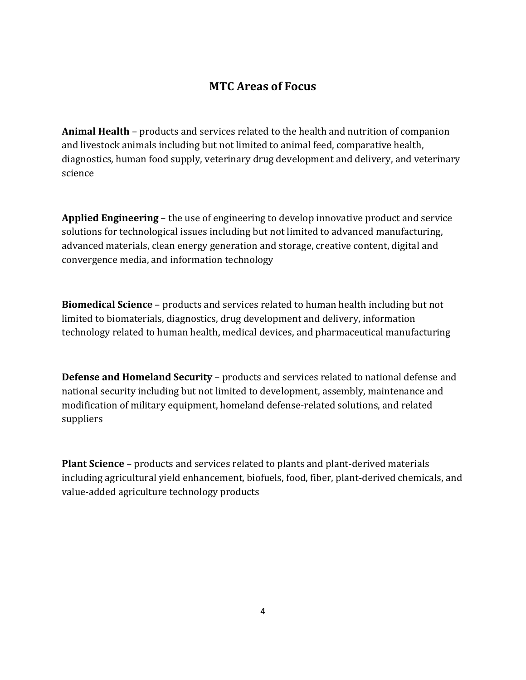## **MTC Areas of Focus**

**Animal Health** – products and services related to the health and nutrition of companion and livestock animals including but not limited to animal feed, comparative health, diagnostics, human food supply, veterinary drug development and delivery, and veterinary science

**Applied Engineering** – the use of engineering to develop innovative product and service solutions for technological issues including but not limited to advanced manufacturing, advanced materials, clean energy generation and storage, creative content, digital and convergence media, and information technology

**Biomedical Science** – products and services related to human health including but not limited to biomaterials, diagnostics, drug development and delivery, information technology related to human health, medical devices, and pharmaceutical manufacturing

**Defense and Homeland Security** – products and services related to national defense and national security including but not limited to development, assembly, maintenance and modification of military equipment, homeland defense-related solutions, and related suppliers

**Plant Science** – products and services related to plants and plant-derived materials including agricultural yield enhancement, biofuels, food, fiber, plant-derived chemicals, and value-added agriculture technology products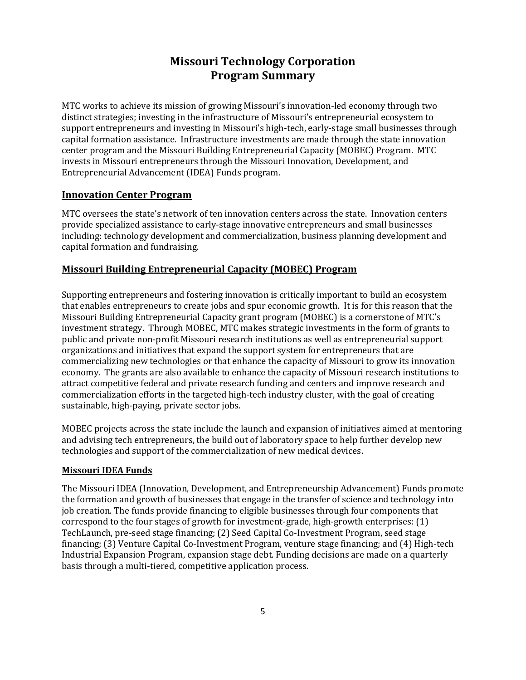## **Missouri Technology Corporation Program Summary**

MTC works to achieve its mission of growing Missouri's innovation-led economy through two distinct strategies; investing in the infrastructure of Missouri's entrepreneurial ecosystem to support entrepreneurs and investing in Missouri's high-tech, early-stage small businesses through capital formation assistance. Infrastructure investments are made through the state innovation center program and the Missouri Building Entrepreneurial Capacity (MOBEC) Program. MTC invests in Missouri entrepreneurs through the Missouri Innovation, Development, and Entrepreneurial Advancement (IDEA) Funds program.

#### **Innovation Center Program**

MTC oversees the state's network of ten innovation centers across the state. Innovation centers provide specialized assistance to early-stage innovative entrepreneurs and small businesses including: technology development and commercialization, business planning development and capital formation and fundraising.

#### **Missouri Building Entrepreneurial Capacity (MOBEC) Program**

Supporting entrepreneurs and fostering innovation is critically important to build an ecosystem that enables entrepreneurs to create jobs and spur economic growth. It is for this reason that the Missouri Building Entrepreneurial Capacity grant program (MOBEC) is a cornerstone of MTC's investment strategy. Through MOBEC, MTC makes strategic investments in the form of grants to public and private non-profit Missouri research institutions as well as entrepreneurial support organizations and initiatives that expand the support system for entrepreneurs that are commercializing new technologies or that enhance the capacity of Missouri to grow its innovation economy. The grants are also available to enhance the capacity of Missouri research institutions to attract competitive federal and private research funding and centers and improve research and commercialization efforts in the targeted high-tech industry cluster, with the goal of creating sustainable, high-paying, private sector jobs.

MOBEC projects across the state include the launch and expansion of initiatives aimed at mentoring and advising tech entrepreneurs, the build out of laboratory space to help further develop new technologies and support of the commercialization of new medical devices.

#### **Missouri IDEA Funds**

The Missouri IDEA (Innovation, Development, and Entrepreneurship Advancement) Funds promote the formation and growth of businesses that engage in the transfer of science and technology into job creation. The funds provide financing to eligible businesses through four components that correspond to the four stages of growth for investment-grade, high-growth enterprises: (1) TechLaunch, pre-seed stage financing; (2) Seed Capital Co-Investment Program, seed stage financing; (3) Venture Capital Co-Investment Program, venture stage financing; and (4) High-tech Industrial Expansion Program, expansion stage debt. Funding decisions are made on a quarterly basis through a multi-tiered, competitive application process.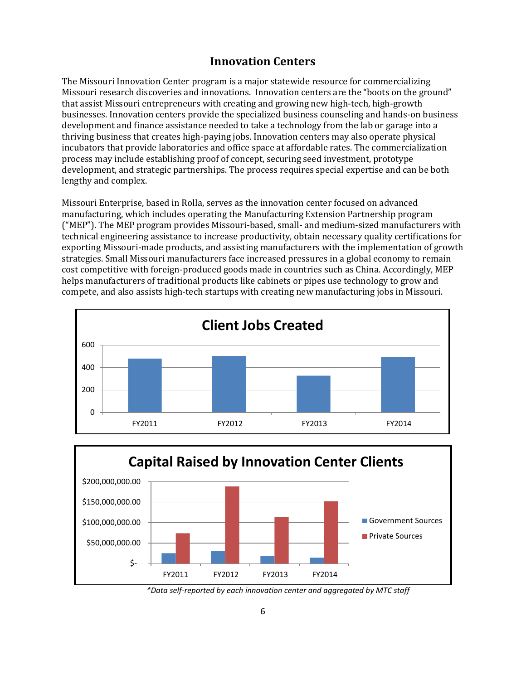## **Innovation Centers**

The Missouri Innovation Center program is a major statewide resource for commercializing Missouri research discoveries and innovations. Innovation centers are the "boots on the ground" that assist Missouri entrepreneurs with creating and growing new high-tech, high-growth businesses. Innovation centers provide the specialized business counseling and hands-on business development and finance assistance needed to take a technology from the lab or garage into a thriving business that creates high-paying jobs. Innovation centers may also operate physical incubators that provide laboratories and office space at affordable rates. The commercialization process may include establishing proof of concept, securing seed investment, prototype development, and strategic partnerships. The process requires special expertise and can be both lengthy and complex.

Missouri Enterprise, based in Rolla, serves as the innovation center focused on advanced manufacturing, which includes operating the Manufacturing Extension Partnership program ("MEP"). The MEP program provides Missouri-based, small- and medium-sized manufacturers with technical engineering assistance to increase productivity, obtain necessary quality certifications for exporting Missouri-made products, and assisting manufacturers with the implementation of growth strategies. Small Missouri manufacturers face increased pressures in a global economy to remain cost competitive with foreign-produced goods made in countries such as China. Accordingly, MEP helps manufacturers of traditional products like cabinets or pipes use technology to grow and compete, and also assists high-tech startups with creating new manufacturing jobs in Missouri.





*<sup>\*</sup>Data self-reported by each innovation center and aggregated by MTC staff*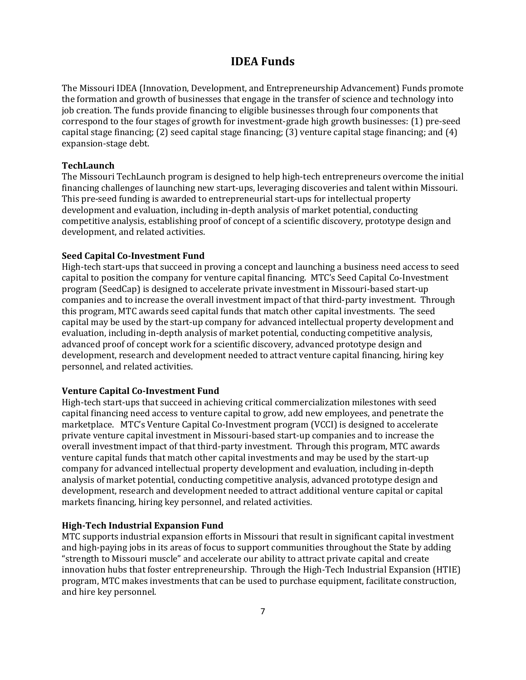## **IDEA Funds**

The Missouri IDEA (Innovation, Development, and Entrepreneurship Advancement) Funds promote the formation and growth of businesses that engage in the transfer of science and technology into job creation. The funds provide financing to eligible businesses through four components that correspond to the four stages of growth for investment-grade high growth businesses: (1) pre-seed capital stage financing; (2) seed capital stage financing; (3) venture capital stage financing; and (4) expansion-stage debt.

#### **TechLaunch**

The Missouri TechLaunch program is designed to help high-tech entrepreneurs overcome the initial financing challenges of launching new start-ups, leveraging discoveries and talent within Missouri. This pre-seed funding is awarded to entrepreneurial start-ups for intellectual property development and evaluation, including in-depth analysis of market potential, conducting competitive analysis, establishing proof of concept of a scientific discovery, prototype design and development, and related activities.

#### **Seed Capital Co-Investment Fund**

High-tech start-ups that succeed in proving a concept and launching a business need access to seed capital to position the company for venture capital financing. MTC's Seed Capital Co-Investment program (SeedCap) is designed to accelerate private investment in Missouri-based start-up companies and to increase the overall investment impact of that third-party investment. Through this program, MTC awards seed capital funds that match other capital investments. The seed capital may be used by the start-up company for advanced intellectual property development and evaluation, including in-depth analysis of market potential, conducting competitive analysis, advanced proof of concept work for a scientific discovery, advanced prototype design and development, research and development needed to attract venture capital financing, hiring key personnel, and related activities.

#### **Venture Capital Co-Investment Fund**

High-tech start-ups that succeed in achieving critical commercialization milestones with seed capital financing need access to venture capital to grow, add new employees, and penetrate the marketplace. MTC's Venture Capital Co-Investment program (VCCI) is designed to accelerate private venture capital investment in Missouri-based start-up companies and to increase the overall investment impact of that third-party investment. Through this program, MTC awards venture capital funds that match other capital investments and may be used by the start-up company for advanced intellectual property development and evaluation, including in-depth analysis of market potential, conducting competitive analysis, advanced prototype design and development, research and development needed to attract additional venture capital or capital markets financing, hiring key personnel, and related activities.

#### **High-Tech Industrial Expansion Fund**

MTC supports industrial expansion efforts in Missouri that result in significant capital investment and high-paying jobs in its areas of focus to support communities throughout the State by adding "strength to Missouri muscle" and accelerate our ability to attract private capital and create innovation hubs that foster entrepreneurship. Through the High-Tech Industrial Expansion (HTIE) program, MTC makes investments that can be used to purchase equipment, facilitate construction, and hire key personnel.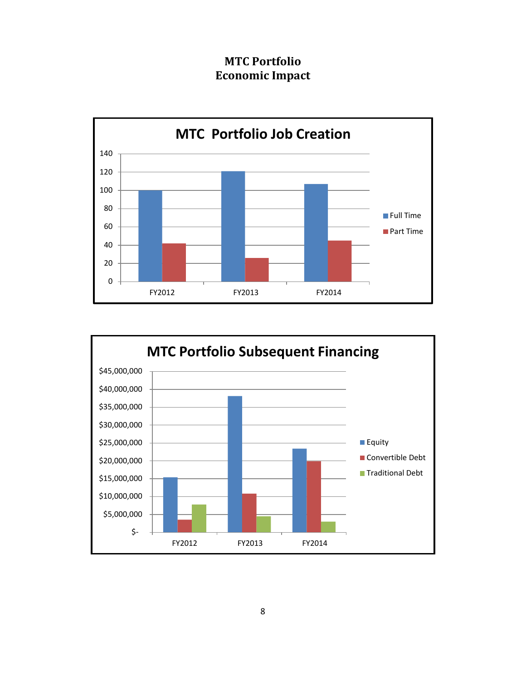## **MTC Portfolio Economic Impact**



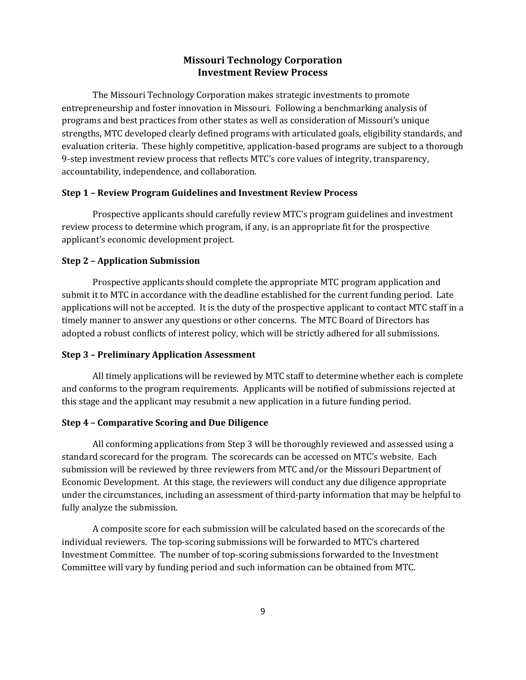#### **Missouri Technology Corporation Investment Review Process**

The Missouri Technology Corporation makes strategic investments to promote entrepreneurship and foster innovation in Missouri. Following a benchmarking analysis of programs and best practices from other states as well as consideration of Missouri's unique strengths, MTC developed clearly defined programs with articulated goals, eligibility standards, and evaluation criteria. These highly competitive, application-based programs are subject to a thorough 9-step investment review process that reflects MTC's core values of integrity, transparency, accountability, independence, and collaboration.

#### **Step 1 – Review Program Guidelines and Investment Review Process**

Prospective applicants should carefully review MTC's program guidelines and investment review process to determine which program, if any, is an appropriate fit for the prospective applicant's economic development project.

#### **Step 2 – Application Submission**

Prospective applicants should complete the appropriate MTC program application and submit it to MTC in accordance with the deadline established for the current funding period. Late applications will not be accepted. It is the duty of the prospective applicant to contact MTC staff in a timely manner to answer any questions or other concerns. The MTC Board of Directors has adopted a robust conflicts of interest policy, which will be strictly adhered for all submissions.

#### **Step 3 – Preliminary Application Assessment**

All timely applications will be reviewed by MTC staff to determine whether each is complete and conforms to the program requirements. Applicants will be notified of submissions rejected at this stage and the applicant may resubmit a new application in a future funding period.

#### **Step 4 – Comparative Scoring and Due Diligence**

All conforming applications from Step 3 will be thoroughly reviewed and assessed using a standard scorecard for the program. The scorecards can be accessed on MTC's website. Each submission will be reviewed by three reviewers from MTC and/or the Missouri Department of Economic Development. At this stage, the reviewers will conduct any due diligence appropriate under the circumstances, including an assessment of third-party information that may be helpful to fully analyze the submission.

A composite score for each submission will be calculated based on the scorecards of the individual reviewers. The top-scoring submissions will be forwarded to MTC's chartered Investment Committee. The number of top-scoring submissions forwarded to the Investment Committee will vary by funding period and such information can be obtained from MTC.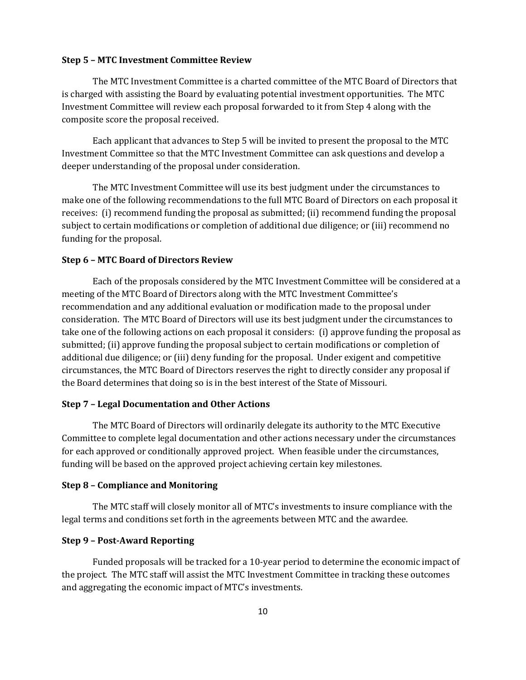#### **Step 5 – MTC Investment Committee Review**

The MTC Investment Committee is a charted committee of the MTC Board of Directors that is charged with assisting the Board by evaluating potential investment opportunities. The MTC Investment Committee will review each proposal forwarded to it from Step 4 along with the composite score the proposal received.

Each applicant that advances to Step 5 will be invited to present the proposal to the MTC Investment Committee so that the MTC Investment Committee can ask questions and develop a deeper understanding of the proposal under consideration.

The MTC Investment Committee will use its best judgment under the circumstances to make one of the following recommendations to the full MTC Board of Directors on each proposal it receives: (i) recommend funding the proposal as submitted; (ii) recommend funding the proposal subject to certain modifications or completion of additional due diligence; or (iii) recommend no funding for the proposal.

#### **Step 6 – MTC Board of Directors Review**

Each of the proposals considered by the MTC Investment Committee will be considered at a meeting of the MTC Board of Directors along with the MTC Investment Committee's recommendation and any additional evaluation or modification made to the proposal under consideration. The MTC Board of Directors will use its best judgment under the circumstances to take one of the following actions on each proposal it considers: (i) approve funding the proposal as submitted; (ii) approve funding the proposal subject to certain modifications or completion of additional due diligence; or (iii) deny funding for the proposal. Under exigent and competitive circumstances, the MTC Board of Directors reserves the right to directly consider any proposal if the Board determines that doing so is in the best interest of the State of Missouri.

#### **Step 7 – Legal Documentation and Other Actions**

The MTC Board of Directors will ordinarily delegate its authority to the MTC Executive Committee to complete legal documentation and other actions necessary under the circumstances for each approved or conditionally approved project. When feasible under the circumstances, funding will be based on the approved project achieving certain key milestones.

#### **Step 8 – Compliance and Monitoring**

The MTC staff will closely monitor all of MTC's investments to insure compliance with the legal terms and conditions set forth in the agreements between MTC and the awardee.

#### **Step 9 – Post-Award Reporting**

Funded proposals will be tracked for a 10-year period to determine the economic impact of the project. The MTC staff will assist the MTC Investment Committee in tracking these outcomes and aggregating the economic impact of MTC's investments.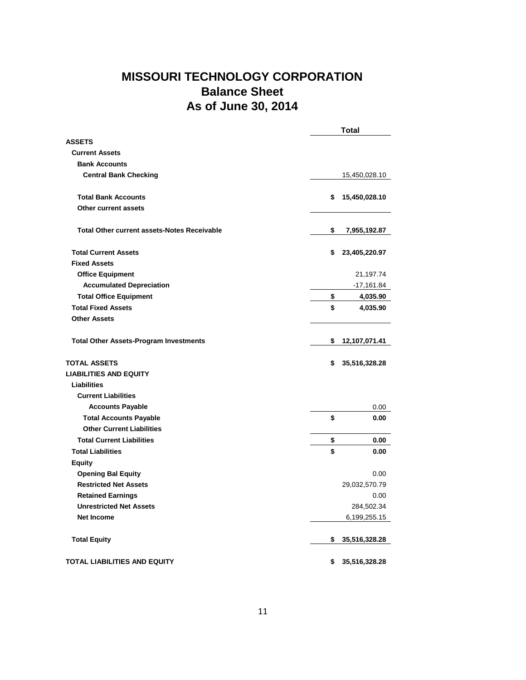## **MISSOURI TECHNOLOGY CORPORATION Balance Sheet As of June 30, 2014**

|                                                    | <b>Total</b>        |  |
|----------------------------------------------------|---------------------|--|
| <b>ASSETS</b>                                      |                     |  |
| <b>Current Assets</b>                              |                     |  |
| <b>Bank Accounts</b>                               |                     |  |
| <b>Central Bank Checking</b>                       | 15,450,028.10       |  |
| <b>Total Bank Accounts</b>                         | \$<br>15,450,028.10 |  |
| <b>Other current assets</b>                        |                     |  |
| <b>Total Other current assets-Notes Receivable</b> | \$<br>7,955,192.87  |  |
| <b>Total Current Assets</b>                        | \$<br>23,405,220.97 |  |
| <b>Fixed Assets</b>                                |                     |  |
| <b>Office Equipment</b>                            | 21,197.74           |  |
| <b>Accumulated Depreciation</b>                    | $-17,161.84$        |  |
| <b>Total Office Equipment</b>                      | \$<br>4,035.90      |  |
| <b>Total Fixed Assets</b>                          | \$<br>4,035.90      |  |
| <b>Other Assets</b>                                |                     |  |
| <b>Total Other Assets-Program Investments</b>      | \$<br>12,107,071.41 |  |
| <b>TOTAL ASSETS</b>                                | \$<br>35,516,328.28 |  |
| <b>LIABILITIES AND EQUITY</b>                      |                     |  |
| Liabilities                                        |                     |  |
| <b>Current Liabilities</b>                         |                     |  |
| <b>Accounts Payable</b>                            | 0.00                |  |
| <b>Total Accounts Payable</b>                      | \$<br>0.00          |  |
| <b>Other Current Liabilities</b>                   |                     |  |
| <b>Total Current Liabilities</b>                   | \$<br>0.00          |  |
| <b>Total Liabilities</b>                           | \$<br>0.00          |  |
| <b>Equity</b>                                      |                     |  |
| <b>Opening Bal Equity</b>                          | 0.00                |  |
| <b>Restricted Net Assets</b>                       | 29,032,570.79       |  |
| <b>Retained Earnings</b>                           | 0.00                |  |
| <b>Unrestricted Net Assets</b>                     | 284,502.34          |  |
| <b>Net Income</b>                                  | 6,199,255.15        |  |
| <b>Total Equity</b>                                | \$<br>35,516,328.28 |  |
| TOTAL LIABILITIES AND EQUITY                       | \$<br>35,516,328.28 |  |